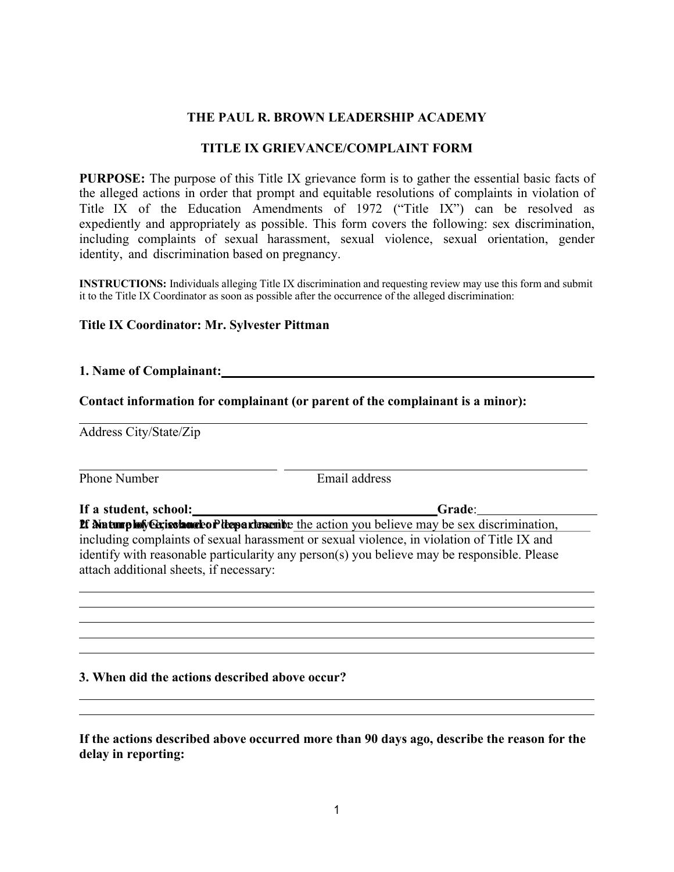## **THE PAUL R. BROWN LEADERSHIP ACADEMY**

### **TITLE IX GRIEVANCE/COMPLAINT FORM**

**PURPOSE:** The purpose of this Title IX grievance form is to gather the essential basic facts of the alleged actions in order that prompt and equitable resolutions of complaints in violation of Title IX of the Education Amendments of 1972 ("Title IX") can be resolved as expediently and appropriately as possible. This form covers the following: sex discrimination, including complaints of sexual harassment, sexual violence, sexual orientation, gender identity, and discrimination based on pregnancy.

**INSTRUCTIONS:** Individuals alleging Title IX discrimination and requesting review may use this form and submit it to the Title IX Coordinator as soon as possible after the occurrence of the alleged discrimination:

#### **Title IX Coordinator: Mr. Sylvester Pittman**

#### **1. Name of Complainant:**

#### **Contact information for complainant (or parent of the complainant is a minor):**

Address City/State/Zip

Phone Number **Email** address

**If a student, school: Grade**: **If**  $\theta$  **and the plot of Get is change to P lieu a change it be action you believe may be sex discrimination,** including complaints of sexual harassment or sexual violence, in violation of Title IX and identify with reasonable particularity any person(s) you believe may be responsible. Please attach additional sheets, if necessary:

#### **3. When did the actions described above occur?**

**If the actions described above occurred more than 90 days ago, describe the reason for the delay in reporting:**